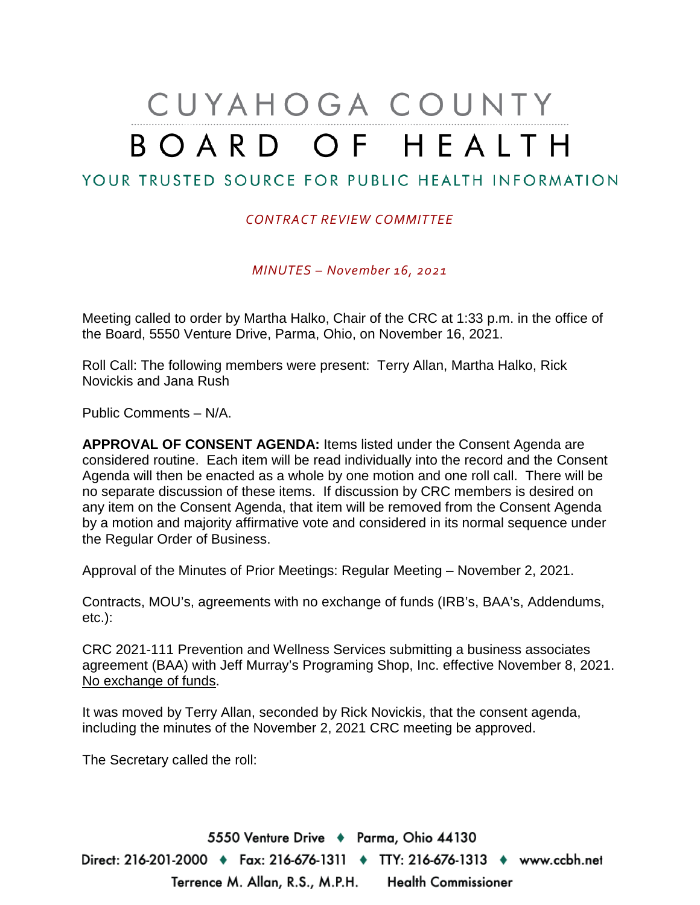# CUYAHOGA COUNTY BOARD OF HEALTH

## YOUR TRUSTED SOURCE FOR PUBLIC HEALTH INFORMATION

### *CONTRACT REVIEW COMMITTEE*

*MINUTES – November 16, 2021*

Meeting called to order by Martha Halko, Chair of the CRC at 1:33 p.m. in the office of the Board, 5550 Venture Drive, Parma, Ohio, on November 16, 2021.

Roll Call: The following members were present: Terry Allan, Martha Halko, Rick Novickis and Jana Rush

Public Comments – N/A.

**APPROVAL OF CONSENT AGENDA:** Items listed under the Consent Agenda are considered routine. Each item will be read individually into the record and the Consent Agenda will then be enacted as a whole by one motion and one roll call. There will be no separate discussion of these items. If discussion by CRC members is desired on any item on the Consent Agenda, that item will be removed from the Consent Agenda by a motion and majority affirmative vote and considered in its normal sequence under the Regular Order of Business.

Approval of the Minutes of Prior Meetings: Regular Meeting – November 2, 2021.

Contracts, MOU's, agreements with no exchange of funds (IRB's, BAA's, Addendums, etc.):

CRC 2021-111 Prevention and Wellness Services submitting a business associates agreement (BAA) with Jeff Murray's Programing Shop, Inc. effective November 8, 2021. No exchange of funds.

It was moved by Terry Allan, seconded by Rick Novickis, that the consent agenda, including the minutes of the November 2, 2021 CRC meeting be approved.

The Secretary called the roll:

5550 Venture Drive + Parma, Ohio 44130 Direct: 216-201-2000 ♦ Fax: 216-676-1311 ♦ TTY: 216-676-1313 ♦ www.ccbh.net Terrence M. Allan, R.S., M.P.H. Health Commissioner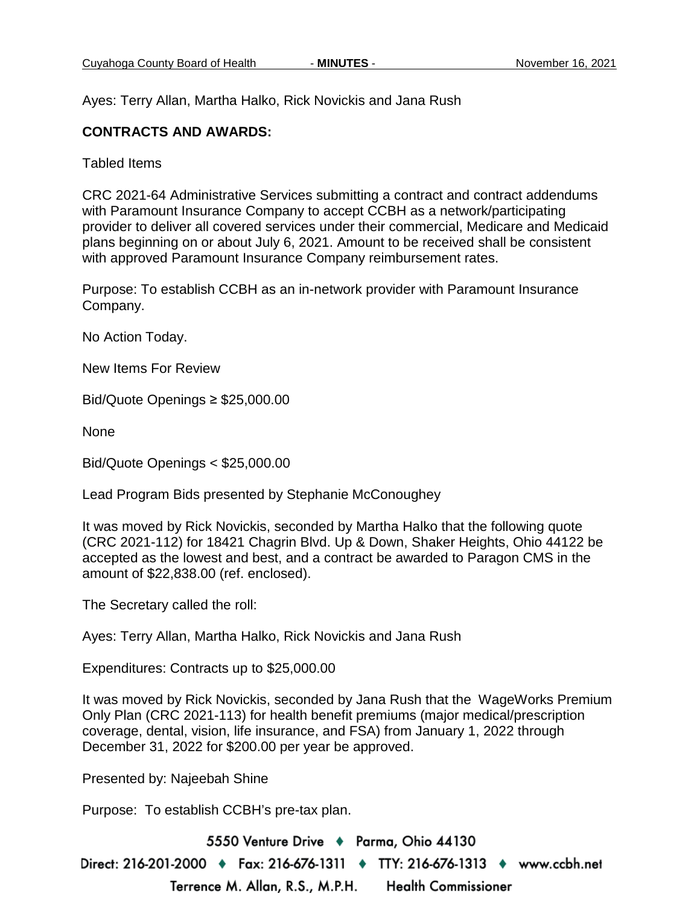Ayes: Terry Allan, Martha Halko, Rick Novickis and Jana Rush

### **CONTRACTS AND AWARDS:**

Tabled Items

CRC 2021-64 Administrative Services submitting a contract and contract addendums with Paramount Insurance Company to accept CCBH as a network/participating provider to deliver all covered services under their commercial, Medicare and Medicaid plans beginning on or about July 6, 2021. Amount to be received shall be consistent with approved Paramount Insurance Company reimbursement rates.

Purpose: To establish CCBH as an in-network provider with Paramount Insurance Company.

No Action Today.

New Items For Review

Bid/Quote Openings ≥ \$25,000.00

None

Bid/Quote Openings < \$25,000.00

Lead Program Bids presented by Stephanie McConoughey

It was moved by Rick Novickis, seconded by Martha Halko that the following quote (CRC 2021-112) for 18421 Chagrin Blvd. Up & Down, Shaker Heights, Ohio 44122 be accepted as the lowest and best, and a contract be awarded to Paragon CMS in the amount of \$22,838.00 (ref. enclosed).

The Secretary called the roll:

Ayes: Terry Allan, Martha Halko, Rick Novickis and Jana Rush

Expenditures: Contracts up to \$25,000.00

It was moved by Rick Novickis, seconded by Jana Rush that the WageWorks Premium Only Plan (CRC 2021-113) for health benefit premiums (major medical/prescription coverage, dental, vision, life insurance, and FSA) from January 1, 2022 through December 31, 2022 for \$200.00 per year be approved.

Presented by: Najeebah Shine

Purpose: To establish CCBH's pre-tax plan.

5550 Venture Drive + Parma, Ohio 44130 Direct: 216-201-2000 ♦ Fax: 216-676-1311 ♦ TTY: 216-676-1313 ♦ www.ccbh.net Terrence M. Allan, R.S., M.P.H. **Health Commissioner**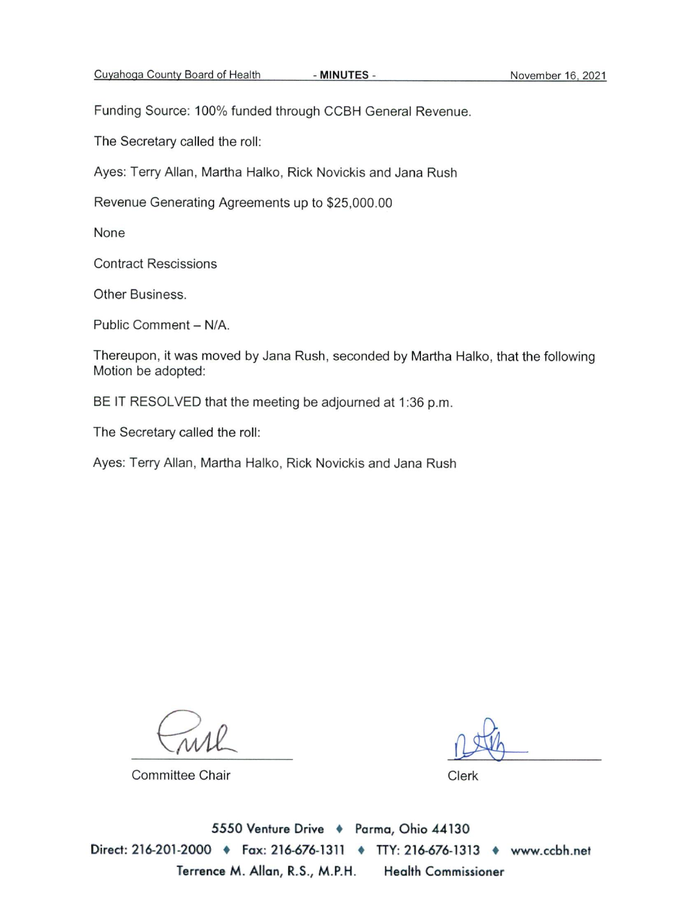Funding Source: 100% funded through CCBH General Revenue.

The Secretary called the roll:

Ayes: Terry Allan, Martha Halko, Rick Novickis and Jana Rush

Revenue Generating Agreements up to \$25,000.00

None

**Contract Rescissions** 

Other Business.

Public Comment - N/A.

Thereupon, it was moved by Jana Rush, seconded by Martha Halko, that the following Motion be adopted:

- MINUTES -

BE IT RESOLVED that the meeting be adjourned at 1:36 p.m.

The Secretary called the roll:

Ayes: Terry Allan, Martha Halko, Rick Novickis and Jana Rush

**Committee Chair** 

Clerk

5550 Venture Drive + Parma, Ohio 44130 Direct: 216-201-2000 • Fax: 216-676-1311 • TTY: 216-676-1313 • www.ccbh.net Terrence M. Allan, R.S., M.P.H. **Health Commissioner**